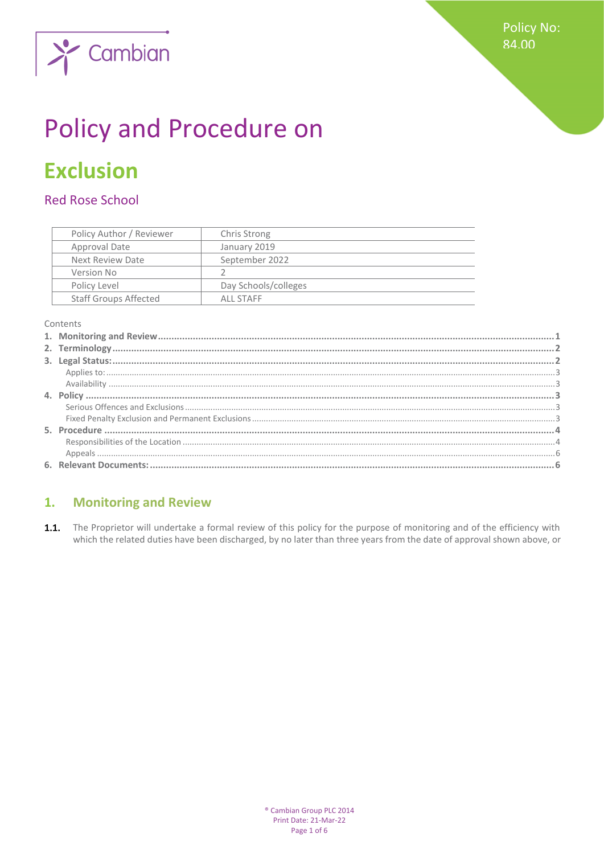

# **Policy and Procedure on**

## **Exclusion**

### **Red Rose School**

| Policy Author / Reviewer     | Chris Strong         |
|------------------------------|----------------------|
| Approval Date                | January 2019         |
| Next Review Date             | September 2022       |
| Version No                   |                      |
| Policy Level                 | Day Schools/colleges |
| <b>Staff Groups Affected</b> | ALL STAFF            |

Contents

#### <span id="page-0-0"></span>**Monitoring and Review**  $1.$

1.1. The Proprietor will undertake a formal review of this policy for the purpose of monitoring and of the efficiency with which the related duties have been discharged, by no later than three years from the date of approval shown above, or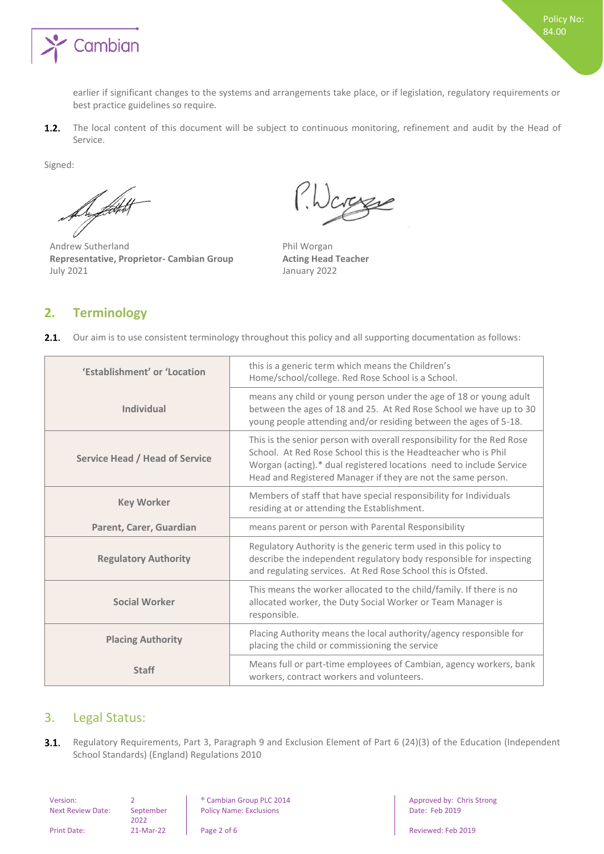

earlier if significant changes to the systems and arrangements take place, or if legislation, regulatory requirements or best practice guidelines so require.

 $1.2.$ The local content of this document will be subject to continuous monitoring, refinement and audit by the Head of Service.

Signed:

fSyddol

Andrew Sutherland Phil Worgan **Representative, Proprietor- Cambian Group Acting Head Teacher** July 2021 January 2022

Jarge

#### <span id="page-1-0"></span>**2. Terminology**

| <b>2.1.</b> Our aim is to use consistent terminology throughout this policy and all supporting documentation as follows: |                                                                                                                                                                                                                                                                                                              |  |
|--------------------------------------------------------------------------------------------------------------------------|--------------------------------------------------------------------------------------------------------------------------------------------------------------------------------------------------------------------------------------------------------------------------------------------------------------|--|
| 'Establishment' or 'Location                                                                                             | this is a generic term which means the Children's<br>Home/school/college. Red Rose School is a School.                                                                                                                                                                                                       |  |
| <b>Individual</b>                                                                                                        | means any child or young person under the age of 18 or young adult<br>between the ages of 18 and 25. At Red Rose School we have up to 30<br>young people attending and/or residing between the ages of 5-18.                                                                                                 |  |
| <b>Service Head / Head of Service</b>                                                                                    | This is the senior person with overall responsibility for the Red Rose<br>School. At Red Rose School this is the Headteacher who is Phil<br>Worgan (acting).* dual registered locations need to include Service<br>Head and Registered Manager if they are not the same person.                              |  |
| <b>Key Worker</b>                                                                                                        | Members of staff that have special responsibility for Individuals<br>residing at or attending the Establishment.                                                                                                                                                                                             |  |
| Parent, Carer, Guardian                                                                                                  | means parent or person with Parental Responsibility                                                                                                                                                                                                                                                          |  |
| <b>Regulatory Authority</b>                                                                                              | Regulatory Authority is the generic term used in this policy to<br>describe the independent regulatory body responsible for inspecting<br>and regulating services. At Red Rose School this is Ofsted.                                                                                                        |  |
| <b>Social Worker</b>                                                                                                     | This means the worker allocated to the child/family. If there is no<br>allocated worker, the Duty Social Worker or Team Manager is<br>responsible.                                                                                                                                                           |  |
| <b>Placing Authority</b>                                                                                                 | Placing Authority means the local authority/agency responsible for<br>$\mathbf{r} = \mathbf{r}$ , and the state of the state of the state of the state of the state of the state of the state of the state of the state of the state of the state of the state of the state of the state of the state of the |  |

 $\ddot{\phantom{0}}$ Our aim is to use consistent terminology throughout this policy and all supporting documentation as follows:

| acing Authority | placing the child or commissioning the service                                                                  |
|-----------------|-----------------------------------------------------------------------------------------------------------------|
| <b>Staff</b>    | Means full or part-time employees of Cambian, agency workers, bank<br>workers, contract workers and volunteers. |

#### <span id="page-1-1"></span>3. Legal Status:

 $3.1.$ Regulatory Requirements, Part 3, Paragraph 9 and Exclusion Element of Part 6 (24)(3) of the Education (Independent School Standards) (England) Regulations 2010

| Version:         |  |
|------------------|--|
| Next Review Date |  |

e: September 2022

Policy Name: Exclusions **Date: Feb 2019** 

2 **8 Cambian Group PLC 2014 Approved by: Chris Strong** 

Print Date: 21-Mar-22 Page 2 of 6 Reviewed: Feb 2019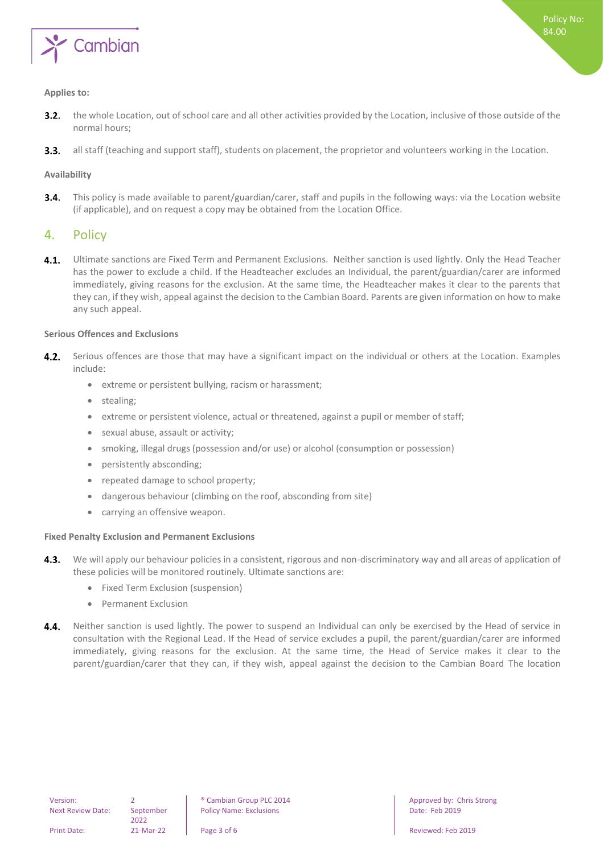

#### <span id="page-2-0"></span>**Applies to:**

- the whole Location, out of school care and all other activities provided by the Location, inclusive of those outside of the  $3.2.$ normal hours;
- all staff (teaching and support staff), students on placement, the proprietor and volunteers working in the Location.  $3.3.$

#### <span id="page-2-1"></span>**Availability**

This policy is made available to parent/guardian/carer, staff and pupils in the following ways: via the Location website  $3.4.$ (if applicable), and on request a copy may be obtained from the Location Office.

#### <span id="page-2-2"></span>4. Policy

 $4.1.$ Ultimate sanctions are Fixed Term and Permanent Exclusions. Neither sanction is used lightly. Only the Head Teacher has the power to exclude a child. If the Headteacher excludes an Individual, the parent/guardian/carer are informed immediately, giving reasons for the exclusion. At the same time, the Headteacher makes it clear to the parents that they can, if they wish, appeal against the decision to the Cambian Board. Parents are given information on how to make any such appeal.

#### <span id="page-2-3"></span>**Serious Offences and Exclusions**

- 4.2. Serious offences are those that may have a significant impact on the individual or others at the Location. Examples include:
	- extreme or persistent bullying, racism or harassment;
	- stealing;
	- extreme or persistent violence, actual or threatened, against a pupil or member of staff;
	- sexual abuse, assault or activity;
	- smoking, illegal drugs (possession and/or use) or alcohol (consumption or possession)
	- persistently absconding;
	- repeated damage to school property;
	- dangerous behaviour (climbing on the roof, absconding from site)
	- carrying an offensive weapon.

#### <span id="page-2-4"></span>**Fixed Penalty Exclusion and Permanent Exclusions**

- We will apply our behaviour policies in a consistent, rigorous and non-discriminatory way and all areas of application of  $4.3.$ these policies will be monitored routinely. Ultimate sanctions are:
	- Fixed Term Exclusion (suspension)
	- Permanent Exclusion
- Neither sanction is used lightly. The power to suspend an Individual can only be exercised by the Head of service in 4.4. consultation with the Regional Lead. If the Head of service excludes a pupil, the parent/guardian/carer are informed immediately, giving reasons for the exclusion. At the same time, the Head of Service makes it clear to the parent/guardian/carer that they can, if they wish, appeal against the decision to the Cambian Board The location

2022

Version: 2 ® Cambian Group PLC 2014 Approved by: Chris Strong Policy Name: Exclusions **Date: Feb 2019**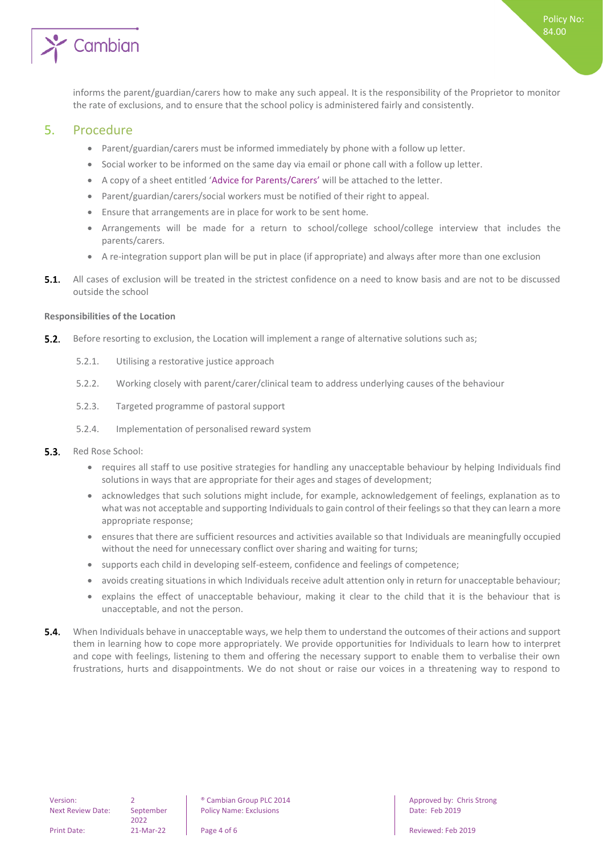

<span id="page-3-0"></span>informs the parent/guardian/carers how to make any such appeal. It is the responsibility of the Proprietor to monitor the rate of exclusions, and to ensure that the school policy is administered fairly and consistently.

#### 5. Procedure

- Parent/guardian/carers must be informed immediately by phone with a follow up letter.
- Social worker to be informed on the same day via email or phone call with a follow up letter.
- A copy of a sheet entitled 'Advice for Parents/Carers' will be attached to the letter.
- Parent/guardian/carers/social workers must be notified of their right to appeal.
- Ensure that arrangements are in place for work to be sent home.
- Arrangements will be made for a return to school/college school/college interview that includes the parents/carers.
- A re-integration support plan will be put in place (if appropriate) and always after more than one exclusion
- All cases of exclusion will be treated in the strictest confidence on a need to know basis and are not to be discussed 51 outside the school

#### <span id="page-3-1"></span>**Responsibilities of the Location**

- $5.2.$ Before resorting to exclusion, the Location will implement a range of alternative solutions such as;
	- 5.2.1. Utilising a restorative justice approach
	- 5.2.2. Working closely with parent/carer/clinical team to address underlying causes of the behaviour
	- 5.2.3. Targeted programme of pastoral support
	- 5.2.4. Implementation of personalised reward system
- $5.3.$ Red Rose School:
	- requires all staff to use positive strategies for handling any unacceptable behaviour by helping Individuals find solutions in ways that are appropriate for their ages and stages of development;
	- acknowledges that such solutions might include, for example, acknowledgement of feelings, explanation as to what was not acceptable and supporting Individuals to gain control of their feelings so that they can learn a more appropriate response;
	- ensures that there are sufficient resources and activities available so that Individuals are meaningfully occupied without the need for unnecessary conflict over sharing and waiting for turns;
	- supports each child in developing self-esteem, confidence and feelings of competence;
	- avoids creating situations in which Individuals receive adult attention only in return for unacceptable behaviour;
	- explains the effect of unacceptable behaviour, making it clear to the child that it is the behaviour that is unacceptable, and not the person.
- $5.4.$ When Individuals behave in unacceptable ways, we help them to understand the outcomes of their actions and support them in learning how to cope more appropriately. We provide opportunities for Individuals to learn how to interpret and cope with feelings, listening to them and offering the necessary support to enable them to verbalise their own frustrations, hurts and disappointments. We do not shout or raise our voices in a threatening way to respond to

2022

Version: 2 ® Cambian Group PLC 2014 Approved by: Chris Strong Policy Name: Exclusions **Date: Feb 2019**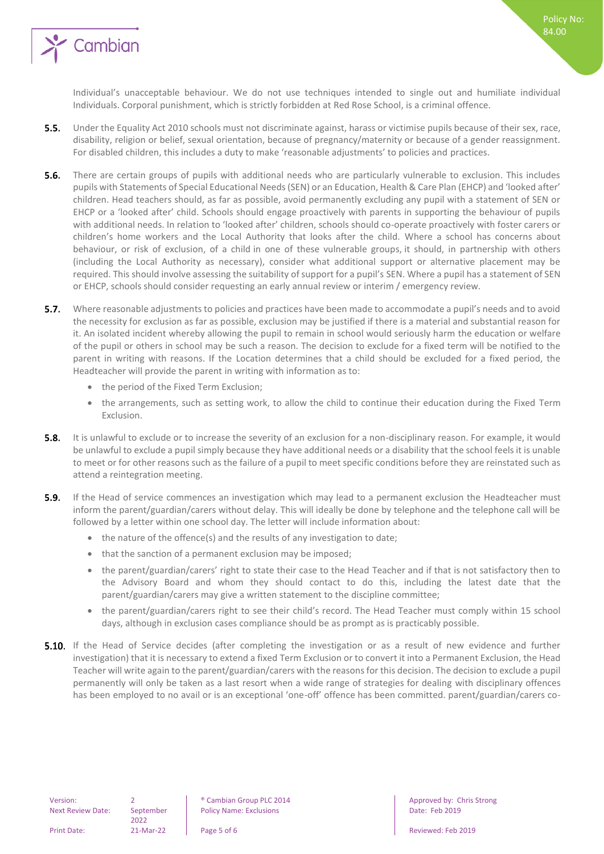

Individual's unacceptable behaviour. We do not use techniques intended to single out and humiliate individual Individuals. Corporal punishment, which is strictly forbidden at Red Rose School, is a criminal offence.

Policy No: 84.00

- $5.5.$ Under the Equality Act 2010 schools must not discriminate against, harass or victimise pupils because of their sex, race, disability, religion or belief, sexual orientation, because of pregnancy/maternity or because of a gender reassignment. For disabled children, this includes a duty to make 'reasonable adjustments' to policies and practices.
- $5.6.$ There are certain groups of pupils with additional needs who are particularly vulnerable to exclusion. This includes pupils with Statements of Special Educational Needs (SEN) or an Education, Health & Care Plan (EHCP) and 'looked after' children. Head teachers should, as far as possible, avoid permanently excluding any pupil with a statement of SEN or EHCP or a 'looked after' child. Schools should engage proactively with parents in supporting the behaviour of pupils with additional needs. In relation to 'looked after' children, schools should co-operate proactively with foster carers or children's home workers and the Local Authority that looks after the child. Where a school has concerns about behaviour, or risk of exclusion, of a child in one of these vulnerable groups, it should, in partnership with others (including the Local Authority as necessary), consider what additional support or alternative placement may be required. This should involve assessing the suitability of support for a pupil's SEN. Where a pupil has a statement of SEN or EHCP, schools should consider requesting an early annual review or interim / emergency review.
- $5.7.$ Where reasonable adjustments to policies and practices have been made to accommodate a pupil's needs and to avoid the necessity for exclusion as far as possible, exclusion may be justified if there is a material and substantial reason for it. An isolated incident whereby allowing the pupil to remain in school would seriously harm the education or welfare of the pupil or others in school may be such a reason. The decision to exclude for a fixed term will be notified to the parent in writing with reasons. If the Location determines that a child should be excluded for a fixed period, the Headteacher will provide the parent in writing with information as to:
	- the period of the Fixed Term Exclusion;
	- the arrangements, such as setting work, to allow the child to continue their education during the Fixed Term Exclusion.
- $5.8.$ It is unlawful to exclude or to increase the severity of an exclusion for a non-disciplinary reason. For example, it would be unlawful to exclude a pupil simply because they have additional needs or a disability that the school feels it is unable to meet or for other reasons such as the failure of a pupil to meet specific conditions before they are reinstated such as attend a reintegration meeting.
- $5.9.$ If the Head of service commences an investigation which may lead to a permanent exclusion the Headteacher must inform the parent/guardian/carers without delay. This will ideally be done by telephone and the telephone call will be followed by a letter within one school day. The letter will include information about:
	- the nature of the offence(s) and the results of any investigation to date;
	- that the sanction of a permanent exclusion may be imposed;
	- the parent/guardian/carers' right to state their case to the Head Teacher and if that is not satisfactory then to the Advisory Board and whom they should contact to do this, including the latest date that the parent/guardian/carers may give a written statement to the discipline committee;
	- the parent/guardian/carers right to see their child's record. The Head Teacher must comply within 15 school days, although in exclusion cases compliance should be as prompt as is practicably possible.
- **5.10.** If the Head of Service decides (after completing the investigation or as a result of new evidence and further investigation) that it is necessary to extend a fixed Term Exclusion or to convert it into a Permanent Exclusion, the Head Teacher will write again to the parent/guardian/carers with the reasons for this decision. The decision to exclude a pupil permanently will only be taken as a last resort when a wide range of strategies for dealing with disciplinary offences has been employed to no avail or is an exceptional 'one-off' offence has been committed. parent/guardian/carers co-

2022

Policy Name: Exclusions **Date: Feb 2019** 

Version: 2 ® Cambian Group PLC 2014 Approved by: Chris Strong